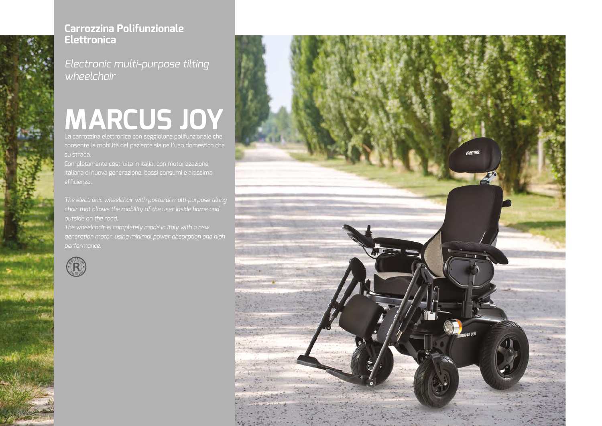

# **MARCUS JOY** La carrozzina elettronica con seggiolone polifunzionale che

consente la mobilità del paziente sia nell'uso domestico che su strada.

Completamente costruita in Italia, con motorizzazione italiana di nuova generazione, bassi consumi e altissima effcienza.

*The electronic wheelchair with postural multi-purpose tilting chair that allows the mobility of the user inside home and outside on the road.*

*The wheelchair is completely made in Italy with a new generation motor, using minimal power absorption and high performance.*





## **Carrozzina Polifunzionale Elettronica**

*Electronic multi-purpose tilting wheelchair*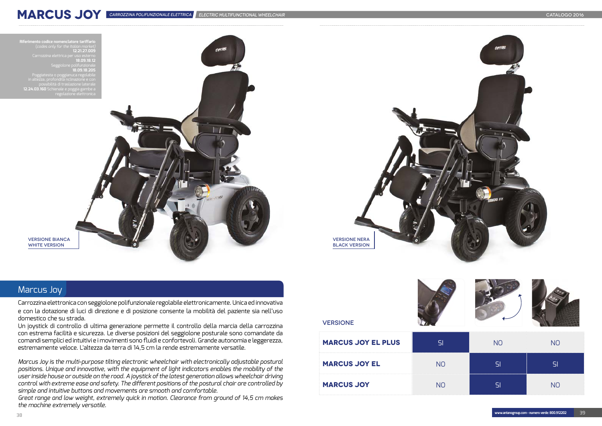

### Marcus Joy

Carrozzina elettronica con seggiolone polifunzionale regolabile elettronicamente. Unica ed innovativa e con la dotazione di luci di direzione e di posizione consente la mobilità del paziente sia nell'uso domestico che su strada.

Un joystick di controllo di ultima generazione permette il controllo della marcia della carrozzina con estrema facilità e sicurezza. Le diverse posizioni del seggiolone posturale sono comandate da comandi semplici ed intuitivi e i movimenti sono fuidi e confortevoli. Grande autonomia e leggerezza, estremamente veloce. L'altezza da terra di 14,5 cm la rende estremamente versatile.

*Marcus Joy is the multi-purpose tilting electronic wheelchair with electronically adjustable postural positions. Unique and innovative, with the equipment of light indicators enables the mobility of the user inside house or outside on the road. A joystick of the latest generation allows wheelchair driving control with extreme ease and safety. The different positions of the postural chair are controlled by simple and intuitive buttons and movements are smooth and comfortable.*

*Great range and low weight, extremely quick in motion. Clearance from ground of 14,5 cm makes the machine extremely versatile.*



**VERSIONE BIANCA** WHITE VERSION

#### VERSIONE





| <b>MARCUS JOY EL PLUS</b> | SI             | <b>NO</b> | N <sub>O</sub> |
|---------------------------|----------------|-----------|----------------|
| <b>MARCUS JOY EL</b>      | N <sub>O</sub> | SI        | SI             |
| <b>MARCUS JOY</b>         | NO             |           | N <sub>O</sub> |

**MARCUS JOY**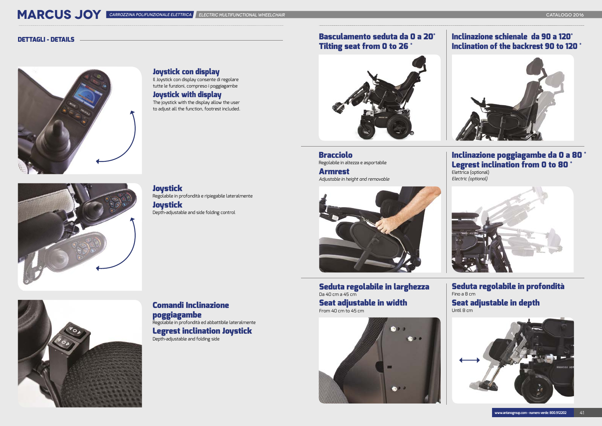Bracciolo Regolabile in altezza e asportabile

Armrest *Adjustable in height and removable*



Seduta regolabile in larghezza Da 40 cm a 45 cm Seat adjustable in width

From 40 cm to 45 cm



#### Seduta regolabile in profondità Fino a 8 cm Seat adjustable in depth

Until 8 cm



**MARCUS JOY** CARROZZINA POLIFUNZIONALE ELETTRICA ELECTRIC MULTIFUNCTIONAL WHEELCHAIR CATALOGO 2016

#### Basculamento seduta da 0 a 20° Tilting seat from 0 to 26 °

#### Inclinazione poggiagambe da 0 a 80 ° Legrest inclination from 0 to 80 °

Elettrica (optional) *Electric (optional)*



#### Inclinazione schienale da 90 a 120° Inclination of the backrest 90 to 120 °



#### DETTAGLI - DETAILS



Depth-adjustable and side folding control



### Comandi Inclinazione poggiagambe

Regolabile in profondità ed abbattibile lateralmente Legrest inclination Joystick

Depth-adjustable and folding side



Joystick con display

Il Joystick con display consente di regolare tutte le funzioni, compreso i poggiagambe

### Joystick with display

The joystick with the display allow the user to adjust all the function, footrest included.



**Joystick** Regolabile in profondità e ripiegabile lateralmente **Joystick**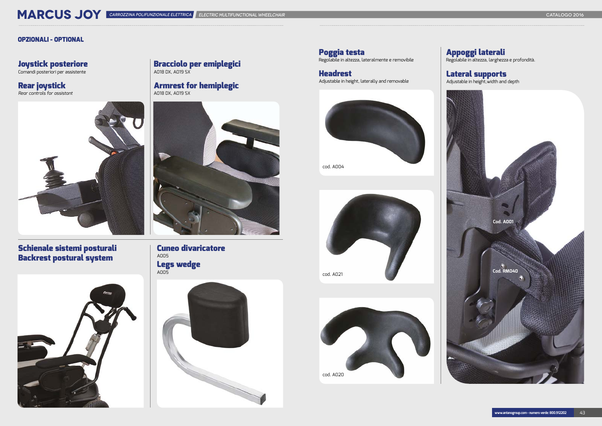#### Joystick posteriore de characciolo per emiplegici de la componente e removibile de la construction de la constr<br>International de la construction de la construction de la construction de la construction de la construction d A018 DX, A019 SX

### Schienale sistemi posturali Backrest postural system



Rear joystick **Armrest for hemiplegic** and the set of the set of the set of the set of the set of the set of the set of the set of the set of the set of the set of the set of the set of the set of the set of the set of the A018 DX, A019 SX



#### Cuneo divaricatore A005 Legs wedge A005



Poggia testa<br>Regolabile in altezza, lateralmente e removibile

**Headrest**<br>Adjustable in height, laterally and removable

*Rear controls for assistant*



#### Appoggi laterali

Regolabile in altezza, larghezza e profondità.

#### Lateral supports

Adjustable in height,width and depth

# MARCUS JOY CARROZZINA POLIFUNZIONALE ELETTRICA ELECTRIC MULTIFUNCTIONAL WHEELCHAIR CATALOGO 2016

#### OPZIONALI - OPTIONAL

# Joystick posteriore



cod. A021